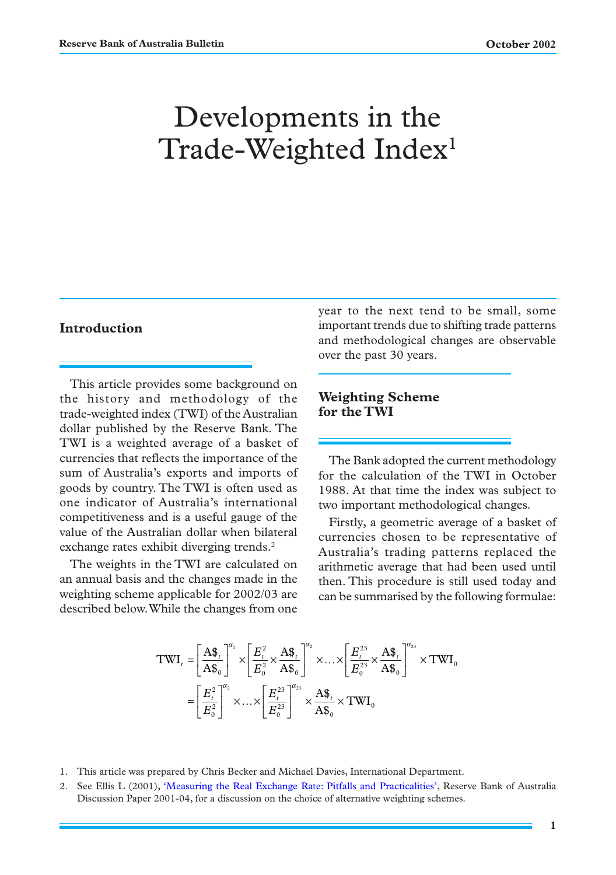# Developments in the Trade-Weighted Index<sup>1</sup>

# **Introduction**

This article provides some background on the history and methodology of the trade-weighted index (TWI) of the Australian dollar published by the Reserve Bank. The TWI is a weighted average of a basket of currencies that reflects the importance of the sum of Australia's exports and imports of goods by country. The TWI is often used as one indicator of Australia's international competitiveness and is a useful gauge of the value of the Australian dollar when bilateral exchange rates exhibit diverging trends.<sup>2</sup>

The weights in the TWI are calculated on an annual basis and the changes made in the weighting scheme applicable for 2002/03 are described below. While the changes from one

year to the next tend to be small, some important trends due to shifting trade patterns and methodological changes are observable over the past 30 years.

## **Weighting Scheme for the TWI**

The Bank adopted the current methodology for the calculation of the TWI in October 1988. At that time the index was subject to two important methodological changes.

Firstly, a geometric average of a basket of currencies chosen to be representative of Australia's trading patterns replaced the arithmetic average that had been used until then. This procedure is still used today and can be summarised by the following formulae:

$$
\begin{split} \text{TWI}_{t}=&\left[\frac{\mathbf{A}\$_{t}}{\mathbf{A}\$_{0}}\right]^{\alpha_{1}}\times\left[\frac{E_{t}^{2}}{E_{0}^{2}}\times\frac{\mathbf{A}\$_{t}}{\mathbf{A}\$_{0}}\right]^{\alpha_{2}}\times\ldots\times\left[\frac{E_{t}^{23}}{E_{0}^{23}}\times\frac{\mathbf{A}\$_{t}}{\mathbf{A}\$_{0}}\right]^{\alpha_{23}}\times\text{TWI}_{0} \\ =&\left[\frac{E_{t}^{2}}{E_{0}^{2}}\right]^{\alpha_{2}}\times\ldots\times\left[\frac{E_{t}^{23}}{E_{0}^{23}}\right]^{\alpha_{23}}\times\frac{\mathbf{A}\$_{t}}{\mathbf{A}\$_{0}}\times\text{TWI}_{0} \end{split}
$$

- 1. This article was prepared by Chris Becker and Michael Davies, International Department.
- 2. See Ellis L (2001), ['Measuring the Real Exchange Rate:](http://www.rba.gov.au/PublicationsAndResearch/RDP/RDP2001-04.html) Pitfalls and Practicalities', Reserve Bank of Australia Discussion Paper 2001-04, for a discussion on the choice of alternative weighting schemes.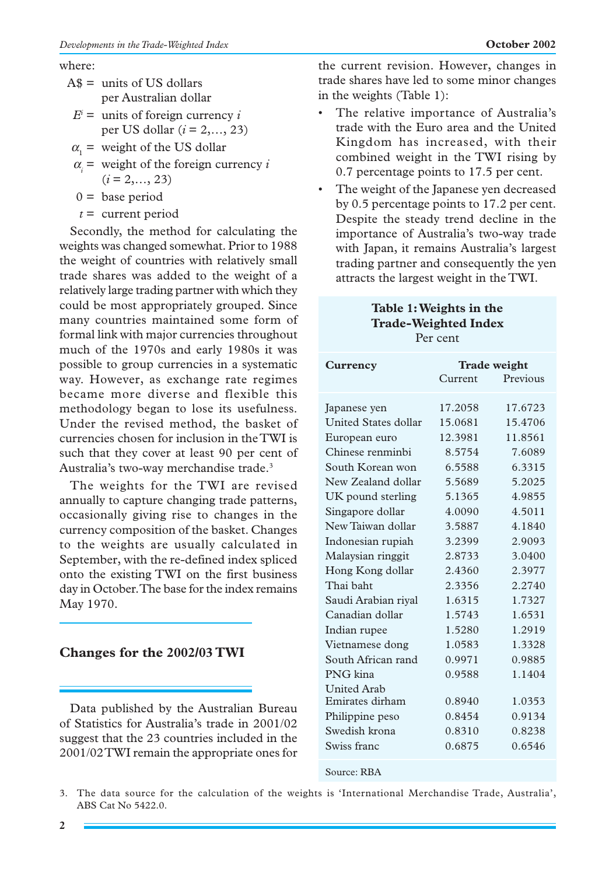## where:

- $A$ \$ = units of US dollars per Australian dollar
	- $E^i$  = units of foreign currency *i* per US dollar (*i* = 2,…, 23)
- $\alpha_1$  = weight of the US dollar
- $\alpha_i$  = weight of the foreign currency *i*  $(i = 2, \ldots, 23)$

 $0 =$  base period

*t* = current period

Secondly, the method for calculating the weights was changed somewhat. Prior to 1988 the weight of countries with relatively small trade shares was added to the weight of a relatively large trading partner with which they could be most appropriately grouped. Since many countries maintained some form of formal link with major currencies throughout much of the 1970s and early 1980s it was possible to group currencies in a systematic way. However, as exchange rate regimes became more diverse and flexible this methodology began to lose its usefulness. Under the revised method, the basket of currencies chosen for inclusion in the TWI is such that they cover at least 90 per cent of Australia's two-way merchandise trade.3

The weights for the TWI are revised annually to capture changing trade patterns, occasionally giving rise to changes in the currency composition of the basket. Changes to the weights are usually calculated in September, with the re-defined index spliced onto the existing TWI on the first business day in October. The base for the index remains May 1970.

# **Changes for the 2002/03 TWI**

Data published by the Australian Bureau of Statistics for Australia's trade in 2001/02 suggest that the 23 countries included in the 2001/02 TWI remain the appropriate ones for the current revision. However, changes in trade shares have led to some minor changes in the weights (Table 1):

- The relative importance of Australia's trade with the Euro area and the United Kingdom has increased, with their combined weight in the TWI rising by 0.7 percentage points to 17.5 per cent.
- The weight of the Japanese yen decreased by 0.5 percentage points to 17.2 per cent. Despite the steady trend decline in the importance of Australia's two-way trade with Japan, it remains Australia's largest trading partner and consequently the yen attracts the largest weight in the TWI.

# **Table 1: Weights in the Trade-Weighted Index** Per cent

| Currency                    | <b>Trade weight</b> |          |  |  |  |
|-----------------------------|---------------------|----------|--|--|--|
|                             | Current             | Previous |  |  |  |
| Japanese yen                | 17.2058             | 17.6723  |  |  |  |
| <b>United States dollar</b> | 15.0681             | 15.4706  |  |  |  |
| European euro               | 12.3981             | 11.8561  |  |  |  |
| Chinese renminbi            | 8.5754              | 7.6089   |  |  |  |
| South Korean won            | 6.5588              | 6.3315   |  |  |  |
| New Zealand dollar          | 5.5689              | 5.2025   |  |  |  |
| UK pound sterling           | 5.1365              | 4.9855   |  |  |  |
| Singapore dollar            | 4.0090              | 4.5011   |  |  |  |
| New Taiwan dollar           | 3.5887              | 4.1840   |  |  |  |
| Indonesian rupiah           | 3.2399              | 2.9093   |  |  |  |
| Malaysian ringgit           | 2.8733              | 3.0400   |  |  |  |
| Hong Kong dollar            | 2.4360              | 2.3977   |  |  |  |
| Thai haht                   | 2.3356              | 2.2740   |  |  |  |
| Saudi Arabian riyal         | 1.6315              | 1.7327   |  |  |  |
| Canadian dollar             | 1.5743              | 1.6531   |  |  |  |
| Indian rupee                | 1.5280              | 1.2919   |  |  |  |
| Vietnamese dong             | 1.0583              | 1.3328   |  |  |  |
| South African rand          | 0.9971              | 0.9885   |  |  |  |
| PNG kina                    | 0.9588              | 1.1404   |  |  |  |
| <b>United Arab</b>          |                     |          |  |  |  |
| Emirates dirham             | 0.8940              | 1.0353   |  |  |  |
| Philippine peso             | 0.8454              | 0.9134   |  |  |  |
| Swedish krona               | 0.8310              | 0.8238   |  |  |  |
| Swiss franc                 | 0.6875              | 0.6546   |  |  |  |
| Source: RBA                 |                     |          |  |  |  |

3. The data source for the calculation of the weights is 'International Merchandise Trade, Australia', ABS Cat No 5422.0.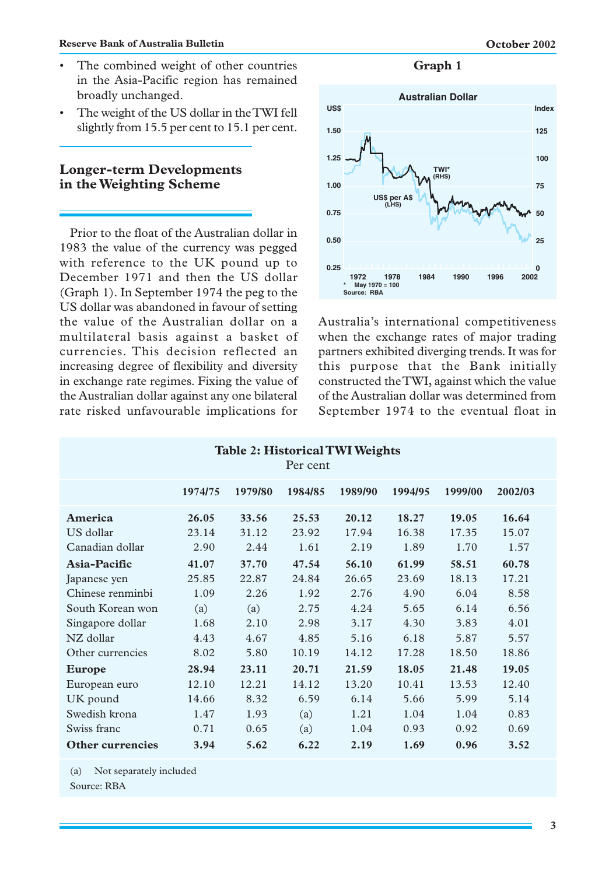#### **Reserve Bank of Australia Bulletin Constanting Constanting Constanting Constanting Constanting Constanting Constanting Constanting Constanting Constanting Constanting Constanting Constanting Constanting Constanting Cons**

- The combined weight of other countries in the Asia-Pacific region has remained broadly unchanged.
- The weight of the US dollar in the TWI fell slightly from 15.5 per cent to 15.1 per cent.

# **Longer-term Developments in the Weighting Scheme**

Prior to the float of the Australian dollar in 1983 the value of the currency was pegged with reference to the UK pound up to December 1971 and then the US dollar (Graph 1). In September 1974 the peg to the US dollar was abandoned in favour of setting the value of the Australian dollar on a multilateral basis against a basket of currencies. This decision reflected an increasing degree of flexibility and diversity in exchange rate regimes. Fixing the value of the Australian dollar against any one bilateral rate risked unfavourable implications for

**Graph 1**



Australia's international competitiveness when the exchange rates of major trading partners exhibited diverging trends. It was for this purpose that the Bank initially constructed the TWI, against which the value of the Australian dollar was determined from September 1974 to the eventual float in

| <b>Table 2: Historical TWI Weights</b><br>Per cent |         |         |         |         |         |         |         |  |  |  |
|----------------------------------------------------|---------|---------|---------|---------|---------|---------|---------|--|--|--|
|                                                    | 1974/75 | 1979/80 | 1984/85 | 1989/90 | 1994/95 | 1999/00 | 2002/03 |  |  |  |
| America                                            | 26.05   | 33.56   | 25.53   | 20.12   | 18.27   | 19.05   | 16.64   |  |  |  |
| US dollar                                          | 23.14   | 31.12   | 23.92   | 17.94   | 16.38   | 17.35   | 15.07   |  |  |  |
| Canadian dollar                                    | 2.90    | 2.44    | 1.61    | 2.19    | 1.89    | 1.70    | 1.57    |  |  |  |
| Asia-Pacific                                       | 41.07   | 37.70   | 47.54   | 56.10   | 61.99   | 58.51   | 60.78   |  |  |  |
| Japanese yen                                       | 25.85   | 22.87   | 24.84   | 26.65   | 23.69   | 18.13   | 17.21   |  |  |  |
| Chinese renminbi                                   | 1.09    | 2.26    | 1.92    | 2.76    | 4.90    | 6.04    | 8.58    |  |  |  |
| South Korean won                                   | (a)     | (a)     | 2.75    | 4.24    | 5.65    | 6.14    | 6.56    |  |  |  |
| Singapore dollar                                   | 1.68    | 2.10    | 2.98    | 3.17    | 4.30    | 3.83    | 4.01    |  |  |  |
| NZ dollar                                          | 4.43    | 4.67    | 4.85    | 5.16    | 6.18    | 5.87    | 5.57    |  |  |  |
| Other currencies                                   | 8.02    | 5.80    | 10.19   | 14.12   | 17.28   | 18.50   | 18.86   |  |  |  |
| Europe                                             | 28.94   | 23.11   | 20.71   | 21.59   | 18.05   | 21.48   | 19.05   |  |  |  |
| European euro                                      | 12.10   | 12.21   | 14.12   | 13.20   | 10.41   | 13.53   | 12.40   |  |  |  |
| UK pound                                           | 14.66   | 8.32    | 6.59    | 6.14    | 5.66    | 5.99    | 5.14    |  |  |  |
| Swedish krona                                      | 1.47    | 1.93    | (a)     | 1.21    | 1.04    | 1.04    | 0.83    |  |  |  |
| Swiss franc                                        | 0.71    | 0.65    | (a)     | 1.04    | 0.93    | 0.92    | 0.69    |  |  |  |
| Other currencies                                   | 3.94    | 5.62    | 6.22    | 2.19    | 1.69    | 0.96    | 3.52    |  |  |  |

(a) Not separately included

Source: RBA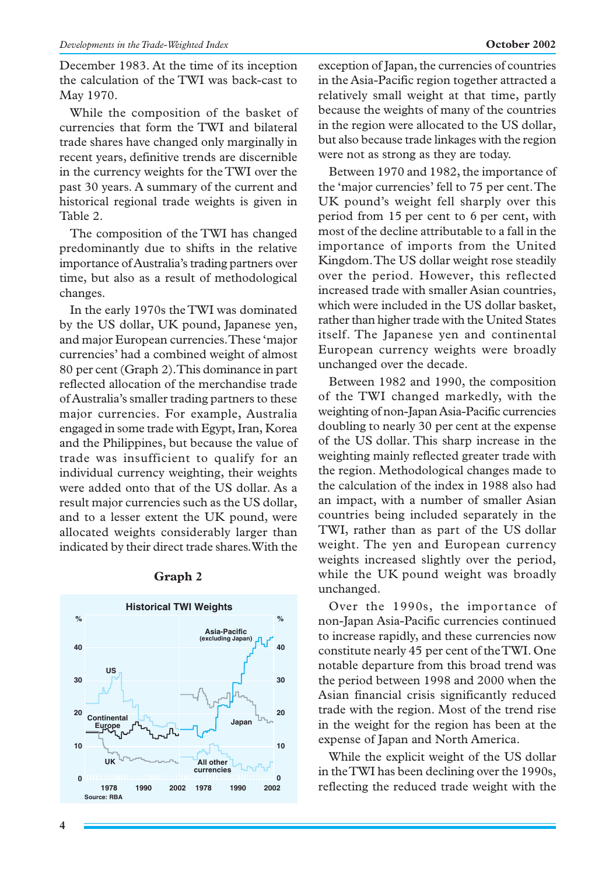December 1983. At the time of its inception the calculation of the TWI was back-cast to May 1970.

While the composition of the basket of currencies that form the TWI and bilateral trade shares have changed only marginally in recent years, definitive trends are discernible in the currency weights for the TWI over the past 30 years. A summary of the current and historical regional trade weights is given in Table 2.

The composition of the TWI has changed predominantly due to shifts in the relative importance of Australia's trading partners over time, but also as a result of methodological changes.

In the early 1970s the TWI was dominated by the US dollar, UK pound, Japanese yen, and major European currencies. These 'major currencies' had a combined weight of almost 80 per cent (Graph 2). This dominance in part reflected allocation of the merchandise trade of Australia's smaller trading partners to these major currencies. For example, Australia engaged in some trade with Egypt, Iran, Korea and the Philippines, but because the value of trade was insufficient to qualify for an individual currency weighting, their weights were added onto that of the US dollar. As a result major currencies such as the US dollar, and to a lesser extent the UK pound, were allocated weights considerably larger than indicated by their direct trade shares. With the



## **Graph 2**

exception of Japan, the currencies of countries in the Asia-Pacific region together attracted a relatively small weight at that time, partly because the weights of many of the countries in the region were allocated to the US dollar, but also because trade linkages with the region were not as strong as they are today.

Between 1970 and 1982, the importance of the 'major currencies' fell to 75 per cent. The UK pound's weight fell sharply over this period from 15 per cent to 6 per cent, with most of the decline attributable to a fall in the importance of imports from the United Kingdom. The US dollar weight rose steadily over the period. However, this reflected increased trade with smaller Asian countries, which were included in the US dollar basket, rather than higher trade with the United States itself. The Japanese yen and continental European currency weights were broadly unchanged over the decade.

Between 1982 and 1990, the composition of the TWI changed markedly, with the weighting of non-Japan Asia-Pacific currencies doubling to nearly 30 per cent at the expense of the US dollar. This sharp increase in the weighting mainly reflected greater trade with the region. Methodological changes made to the calculation of the index in 1988 also had an impact, with a number of smaller Asian countries being included separately in the TWI, rather than as part of the US dollar weight. The yen and European currency weights increased slightly over the period, while the UK pound weight was broadly unchanged.

Over the 1990s, the importance of non-Japan Asia-Pacific currencies continued to increase rapidly, and these currencies now constitute nearly 45 per cent of the TWI. One notable departure from this broad trend was the period between 1998 and 2000 when the Asian financial crisis significantly reduced trade with the region. Most of the trend rise in the weight for the region has been at the expense of Japan and North America.

While the explicit weight of the US dollar in the TWI has been declining over the 1990s, reflecting the reduced trade weight with the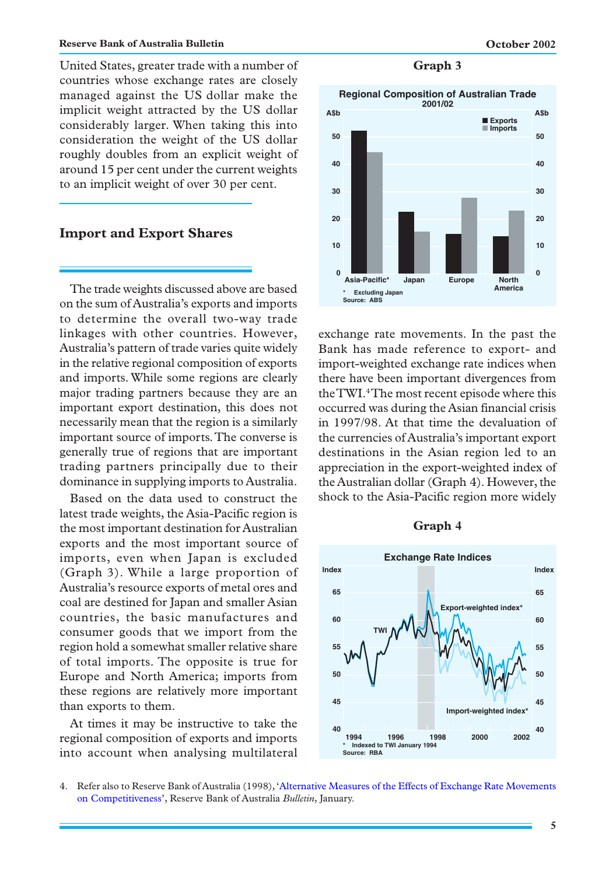#### **Reserve Bank of Australia Bulletin Constanting Constanting Constanting Constanting Constanting Constanting Constanting Constanting Constanting Constanting Constanting Constanting Constanting Constanting Constanting Cons**

United States, greater trade with a number of **Graph 3** countries whose exchange rates are closely managed against the US dollar make the implicit weight attracted by the US dollar considerably larger. When taking this into consideration the weight of the US dollar roughly doubles from an explicit weight of around 15 per cent under the current weights to an implicit weight of over 30 per cent.

## **Import and Export Shares**

The trade weights discussed above are based on the sum of Australia's exports and imports to determine the overall two-way trade linkages with other countries. However, Australia's pattern of trade varies quite widely in the relative regional composition of exports and imports. While some regions are clearly major trading partners because they are an important export destination, this does not necessarily mean that the region is a similarly important source of imports. The converse is generally true of regions that are important trading partners principally due to their dominance in supplying imports to Australia.

Based on the data used to construct the latest trade weights, the Asia-Pacific region is the most important destination for Australian exports and the most important source of imports, even when Japan is excluded (Graph 3). While a large proportion of Australia's resource exports of metal ores and coal are destined for Japan and smaller Asian countries, the basic manufactures and consumer goods that we import from the region hold a somewhat smaller relative share of total imports. The opposite is true for Europe and North America; imports from these regions are relatively more important than exports to them.

At times it may be instructive to take the regional composition of exports and imports into account when analysing multilateral



exchange rate movements. In the past the Bank has made reference to export- and import-weighted exchange rate indices when there have been important divergences from the TWI.4The most recent episode where this occurred was during the Asian financial crisis in 1997/98. At that time the devaluation of the currencies of Australia's important export destinations in the Asian region led to an appreciation in the export-weighted index of the Australian dollar (Graph 4). However, the shock to the Asia-Pacific region more widely

### **Graph 4**



<sup>4.</sup> Refer also to Reserve Bank of Australia (1998),['Alternative Measures of the Effects of Exchange Rate Movements](http://www.rba.gov.au/PublicationsAndResearch/Bulletin/bu_jan98/bu_0198_1.pdf) [on Competitiveness',](http://www.rba.gov.au/PublicationsAndResearch/Bulletin/bu_jan98/bu_0198_1.pdf) Reserve Bank of Australia *Bulletin*, January.